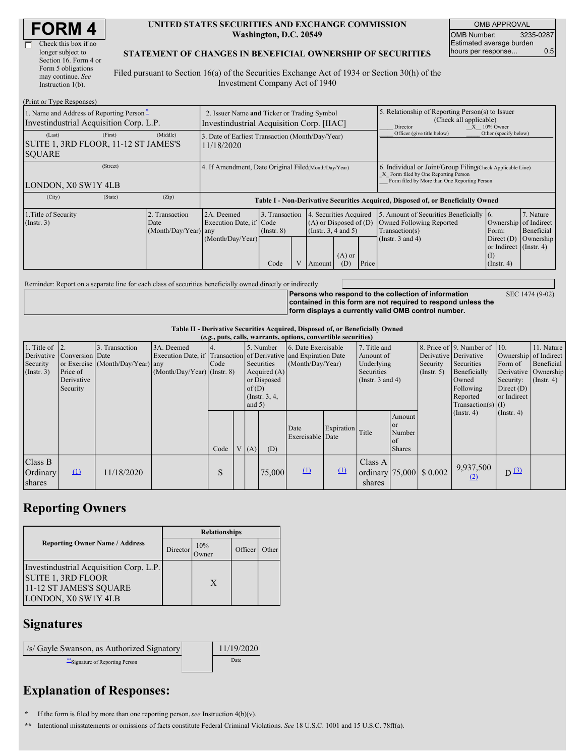| <b>FORM4</b> |
|--------------|
|--------------|

 $(D_{\text{right}} \neq p_{\text{right}} \in D_{\text{right}} \neq p_{\text{right}}$ 

#### **UNITED STATES SECURITIES AND EXCHANGE COMMISSION Washington, D.C. 20549**

OMB APPROVAL OMB Number: 3235-0287 Estimated average burden hours per response... 0.5

#### **STATEMENT OF CHANGES IN BENEFICIAL OWNERSHIP OF SECURITIES**

Filed pursuant to Section 16(a) of the Securities Exchange Act of 1934 or Section 30(h) of the Investment Company Act of 1940

| THIIL OF TAPE INESPOISES!<br>1. Name and Address of Reporting Person-<br>Investindustrial Acquisition Corp. L.P. | 2. Issuer Name and Ticker or Trading Symbol<br>Investindustrial Acquisition Corp. [IIAC] |                                                                                  |                                           |  |                                                                                    |                                        | 5. Relationship of Reporting Person(s) to Issuer<br>(Check all applicable)<br>$X = 10\%$ Owner<br>Director |                                                                                                                                                    |                                                                                                     |                                      |  |
|------------------------------------------------------------------------------------------------------------------|------------------------------------------------------------------------------------------|----------------------------------------------------------------------------------|-------------------------------------------|--|------------------------------------------------------------------------------------|----------------------------------------|------------------------------------------------------------------------------------------------------------|----------------------------------------------------------------------------------------------------------------------------------------------------|-----------------------------------------------------------------------------------------------------|--------------------------------------|--|
| (Last)<br>(First)<br>SUITE 1, 3RD FLOOR, 11-12 ST JAMES'S<br><b>SOUARE</b>                                       | (Middle)                                                                                 | 3. Date of Earliest Transaction (Month/Day/Year)<br>11/18/2020                   |                                           |  |                                                                                    |                                        |                                                                                                            | Officer (give title below)                                                                                                                         | Other (specify below)                                                                               |                                      |  |
| (Street)<br>LONDON, X0 SW1Y 4LB                                                                                  |                                                                                          | 4. If Amendment, Date Original Filed(Month/Day/Year)                             |                                           |  |                                                                                    |                                        |                                                                                                            | 6. Individual or Joint/Group Filing(Check Applicable Line)<br>X Form filed by One Reporting Person<br>Form filed by More than One Reporting Person |                                                                                                     |                                      |  |
| (City)<br>(State)                                                                                                | (Zip)                                                                                    | Table I - Non-Derivative Securities Acquired, Disposed of, or Beneficially Owned |                                           |  |                                                                                    |                                        |                                                                                                            |                                                                                                                                                    |                                                                                                     |                                      |  |
| 1. Title of Security<br>(Insert. 3)                                                                              | 2. Transaction<br>Date<br>$(Month/Day/Year)$ any                                         | 2A. Deemed<br>Execution Date, if Code<br>(Month/Day/Year)                        | 3. Transaction<br>$($ Instr. $8)$<br>Code |  | $\overline{4}$<br>$(A)$ or Disposed of $(D)$<br>(Instr. $3, 4$ and $5$ )<br>Amount | Securities Acquired<br>$(A)$ or<br>(D) | Price                                                                                                      | 5. Amount of Securities Beneficially 16.<br>Owned Following Reported<br>Transaction(s)<br>(Instr. $3$ and $4$ )                                    | Ownership of Indirect<br>Form:<br>Direct $(D)$<br>or Indirect (Instr. 4)<br>(I)<br>$($ Instr. 4 $)$ | 7. Nature<br>Beneficial<br>Ownership |  |

Reminder: Report on a separate line for each class of securities beneficially owned directly or indirectly.

**Persons who respond to the collection of information contained in this form are not required to respond unless the form displays a currently valid OMB control number.**

SEC 1474 (9-02)

### **Table II - Derivative Securities Acquired, Disposed of, or Beneficially Owned**

|                                                      | (e.g., puts, calls, warrants, options, convertible securities)      |                                                    |                                             |      |                                                                                                     |     |                                                                                                             |                          |                                                                                |                   |                                                      |                                                                                                                      |                                                                              |                                                                        |  |
|------------------------------------------------------|---------------------------------------------------------------------|----------------------------------------------------|---------------------------------------------|------|-----------------------------------------------------------------------------------------------------|-----|-------------------------------------------------------------------------------------------------------------|--------------------------|--------------------------------------------------------------------------------|-------------------|------------------------------------------------------|----------------------------------------------------------------------------------------------------------------------|------------------------------------------------------------------------------|------------------------------------------------------------------------|--|
| 1. Title of<br>Derivative<br>Security<br>(Insert. 3) | $\vert$ 2.<br>Conversion Date<br>Price of<br>Derivative<br>Security | 3. Transaction<br>or Exercise (Month/Day/Year) any | 3A. Deemed<br>$(Month/Day/Year)$ (Instr. 8) | Code | 5. Number<br>Securities<br>Acquired $(A)$<br>or Disposed<br>of(D)<br>$($ Instr. $3, 4,$<br>and $5)$ |     | 6. Date Exercisable<br>Execution Date, if Transaction of Derivative and Expiration Date<br>(Month/Day/Year) |                          | 7. Title and<br>Amount of<br>Underlying<br>Securities<br>(Instr. $3$ and $4$ ) |                   | Derivative Derivative<br>Security<br>$($ Instr. 5)   | 8. Price of 9. Number of 10.<br>Securities<br>Beneficially<br>Owned<br>Following<br>Reported<br>$Transaction(s)$ (I) | Ownership of Indirect<br>Form of<br>Security:<br>Direct $(D)$<br>or Indirect | 11. Nature<br>Beneficial<br>Derivative   Ownership<br>$($ Instr. 4 $)$ |  |
|                                                      |                                                                     |                                                    |                                             | Code |                                                                                                     | (A) | (D)                                                                                                         | Date<br>Exercisable Date | Expiration Title                                                               |                   | Amount<br><b>or</b><br>Number<br>of<br><b>Shares</b> |                                                                                                                      | $($ Instr. 4)                                                                | $($ Instr. 4 $)$                                                       |  |
| Class B<br>Ordinary<br>shares                        | $\mathbf{u}$                                                        | 11/18/2020                                         |                                             | S    |                                                                                                     |     | 75,000                                                                                                      | $\Omega$                 | $\mathbf{r}$                                                                   | Class A<br>shares |                                                      | ordinary 75,000 \$ 0.002                                                                                             | 9,937,500<br>(2)                                                             | $D^{(3)}$                                                              |  |

# **Reporting Owners**

|                                                                                                                        | <b>Relationships</b> |              |         |       |  |  |  |  |
|------------------------------------------------------------------------------------------------------------------------|----------------------|--------------|---------|-------|--|--|--|--|
| <b>Reporting Owner Name / Address</b>                                                                                  | Director             | 10%<br>)wner | Officer | )ther |  |  |  |  |
| Investindustrial Acquisition Corp. L.P.<br><b>SUITE 1, 3RD FLOOR</b><br>11-12 ST JAMES'S SQUARE<br>LONDON, X0 SW1Y 4LB |                      | X            |         |       |  |  |  |  |

### **Signatures**

/s/ Gayle Swanson, as Authorized Signatory 11/19/2020 \*\*Signature of Reporting Person Date

# **Explanation of Responses:**

**\*** If the form is filed by more than one reporting person,*see* Instruction 4(b)(v).

**\*\*** Intentional misstatements or omissions of facts constitute Federal Criminal Violations. *See* 18 U.S.C. 1001 and 15 U.S.C. 78ff(a).